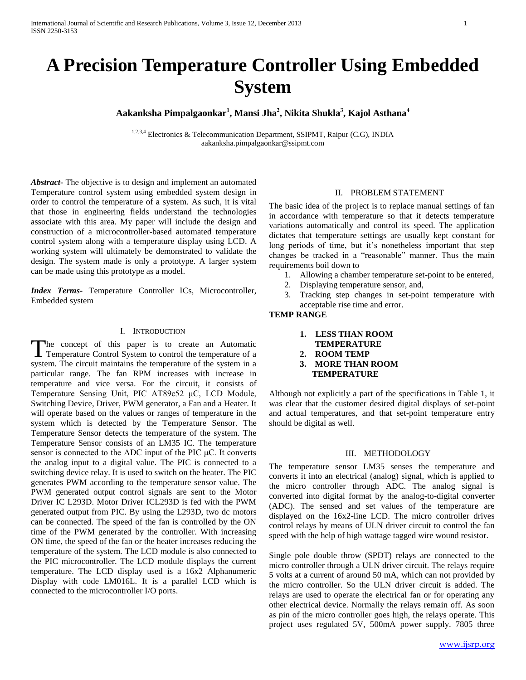# **A Precision Temperature Controller Using Embedded System**

**Aakanksha Pimpalgaonkar<sup>1</sup> , Mansi Jha<sup>2</sup> , Nikita Shukla<sup>3</sup> , Kajol Asthana<sup>4</sup>** 

1,2,3,4 Electronics & Telecommunication Department, SSIPMT, Raipur (C.G), INDIA aakanksha.pimpalgaonkar@ssipmt.com

*Abstract***-** The objective is to design and implement an automated Temperature control system using embedded system design in order to control the temperature of a system. As such, it is vital that those in engineering fields understand the technologies associate with this area. My paper will include the design and construction of a microcontroller-based automated temperature control system along with a temperature display using LCD. A working system will ultimately be demonstrated to validate the design. The system made is only a prototype. A larger system can be made using this prototype as a model.

*Index Terms***-** Temperature Controller ICs, Microcontroller, Embedded system

#### I. INTRODUCTION

The concept of this paper is to create an Automatic The concept of this paper is to create an Automatic<br>Temperature Control System to control the temperature of a system. The circuit maintains the temperature of the system in a particular range. The fan RPM increases with increase in temperature and vice versa. For the circuit, it consists of Temperature Sensing Unit, PIC AT89c52 μC, LCD Module, Switching Device, Driver, PWM generator, a Fan and a Heater. It will operate based on the values or ranges of temperature in the system which is detected by the Temperature Sensor. The Temperature Sensor detects the temperature of the system. The Temperature Sensor consists of an LM35 IC. The temperature sensor is connected to the ADC input of the PIC μC. It converts the analog input to a digital value. The PIC is connected to a switching device relay. It is used to switch on the heater. The PIC generates PWM according to the temperature sensor value. The PWM generated output control signals are sent to the Motor Driver IC L293D. Motor Driver ICL293D is fed with the PWM generated output from PIC. By using the L293D, two dc motors can be connected. The speed of the fan is controlled by the ON time of the PWM generated by the controller. With increasing ON time, the speed of the fan or the heater increases reducing the temperature of the system. The LCD module is also connected to the PIC microcontroller. The LCD module displays the current temperature. The LCD display used is a 16x2 Alphanumeric Display with code LM016L. It is a parallel LCD which is connected to the microcontroller I/O ports.

## II. PROBLEM STATEMENT

The basic idea of the project is to replace manual settings of fan in accordance with temperature so that it detects temperature variations automatically and control its speed. The application dictates that temperature settings are usually kept constant for long periods of time, but it's nonetheless important that step changes be tracked in a "reasonable" manner. Thus the main requirements boil down to

- 1. Allowing a chamber temperature set-point to be entered,
- 2. Displaying temperature sensor, and,
- 3. Tracking step changes in set-point temperature with acceptable rise time and error.

## **TEMP RANGE**

- **1. LESS THAN ROOM**
- **TEMPERATURE**
- **2. ROOM TEMP**
- **3. MORE THAN ROOM TEMPERATURE**

Although not explicitly a part of the specifications in Table 1, it was clear that the customer desired digital displays of set-point and actual temperatures, and that set-point temperature entry should be digital as well.

#### III. METHODOLOGY

The temperature sensor LM35 senses the temperature and converts it into an electrical (analog) signal, which is applied to the micro controller through ADC. The analog signal is converted into digital format by the analog-to-digital converter (ADC). The sensed and set values of the temperature are displayed on the 16x2-line LCD. The micro controller drives control relays by means of ULN driver circuit to control the fan speed with the help of high wattage tagged wire wound resistor.

Single pole double throw (SPDT) relays are connected to the micro controller through a ULN driver circuit. The relays require 5 volts at a current of around 50 mA, which can not provided by the micro controller. So the ULN driver circuit is added. The relays are used to operate the electrical fan or for operating any other electrical device. Normally the relays remain off. As soon as pin of the micro controller goes high, the relays operate. This project uses regulated 5V, 500mA power supply. 7805 three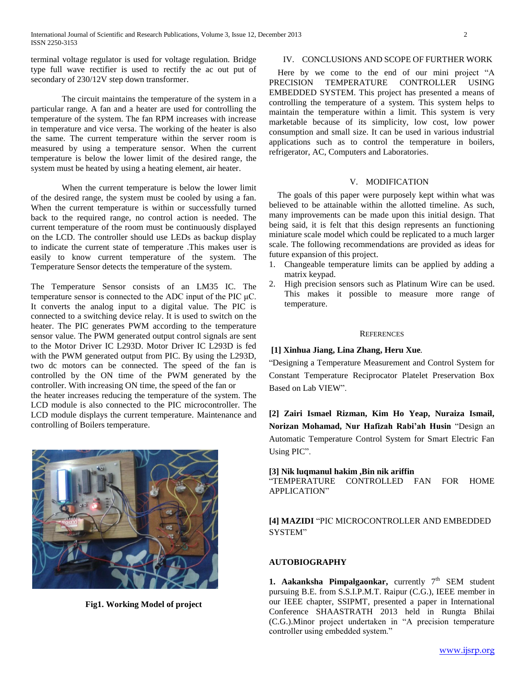terminal voltage regulator is used for voltage regulation. Bridge type full wave rectifier is used to rectify the ac out put of secondary of 230/12V step down transformer.

The circuit maintains the temperature of the system in a particular range. A fan and a heater are used for controlling the temperature of the system. The fan RPM increases with increase in temperature and vice versa. The working of the heater is also the same. The current temperature within the server room is measured by using a temperature sensor. When the current temperature is below the lower limit of the desired range, the system must be heated by using a heating element, air heater.

When the current temperature is below the lower limit of the desired range, the system must be cooled by using a fan. When the current temperature is within or successfully turned back to the required range, no control action is needed. The current temperature of the room must be continuously displayed on the LCD. The controller should use LEDs as backup display to indicate the current state of temperature .This makes user is easily to know current temperature of the system. The Temperature Sensor detects the temperature of the system.

The Temperature Sensor consists of an LM35 IC. The temperature sensor is connected to the ADC input of the PIC μC. It converts the analog input to a digital value. The PIC is connected to a switching device relay. It is used to switch on the heater. The PIC generates PWM according to the temperature sensor value. The PWM generated output control signals are sent to the Motor Driver IC L293D. Motor Driver IC L293D is fed with the PWM generated output from PIC. By using the L293D, two dc motors can be connected. The speed of the fan is controlled by the ON time of the PWM generated by the controller. With increasing ON time, the speed of the fan or the heater increases reducing the temperature of the system. The LCD module is also connected to the PIC microcontroller. The LCD module displays the current temperature. Maintenance and controlling of Boilers temperature.



**Fig1. Working Model of project**

## IV. CONCLUSIONS AND SCOPE OF FURTHER WORK

 Here by we come to the end of our mini project "A PRECISION TEMPERATURE CONTROLLER USING EMBEDDED SYSTEM. This project has presented a means of controlling the temperature of a system. This system helps to maintain the temperature within a limit. This system is very marketable because of its simplicity, low cost, low power consumption and small size. It can be used in various industrial applications such as to control the temperature in boilers, refrigerator, AC, Computers and Laboratories.

## V. MODIFICATION

 The goals of this paper were purposely kept within what was believed to be attainable within the allotted timeline. As such, many improvements can be made upon this initial design. That being said, it is felt that this design represents an functioning miniature scale model which could be replicated to a much larger scale. The following recommendations are provided as ideas for future expansion of this project.

- 1. Changeable temperature limits can be applied by adding a matrix keypad.
- 2. High precision sensors such as Platinum Wire can be used. This makes it possible to measure more range of temperature.

#### **REFERENCES**

# **[1] [Xinhua Jiang,](http://www.computer.org/search/results?action=authorsearch&resultsPerPage=50&queryOption1=DC_CREATOR&sortOrder=descending&queryText1=Xinhua%20Jiang) [Lina Zhang,](http://www.computer.org/search/results?action=authorsearch&resultsPerPage=50&queryOption1=DC_CREATOR&sortOrder=descending&queryText1=Lina%20Zhang) [Heru Xue](http://www.computer.org/search/results?action=authorsearch&resultsPerPage=50&queryOption1=DC_CREATOR&sortOrder=descending&queryText1=Heru%20Xue)***.*

"Designing a Temperature Measurement and Control System for Constant Temperature Reciprocator Platelet Preservation Box Based on Lab VIEW".

**[2] Zairi Ismael Rizman, Kim Ho Yeap, Nuraiza Ismail, Norizan Mohamad, Nur Hafizah Rabi'ah Husin** "Design an Automatic Temperature Control System for Smart Electric Fan Using PIC".

## **[3] Nik luqmanul hakim ,Bin nik ariffin**

"TEMPERATURE CONTROLLED FAN FOR HOME APPLICATION"

# **[4] MAZIDI** "PIC MICROCONTROLLER AND EMBEDDED SYSTEM"

## **AUTOBIOGRAPHY**

**1. Aakanksha Pimpalgaonkar,** currently  $7<sup>th</sup>$  SEM student pursuing B.E. from S.S.I.P.M.T. Raipur (C.G.), IEEE member in our IEEE chapter, SSIPMT, presented a paper in International Conference SHAASTRATH 2013 held in Rungta Bhilai (C.G.).Minor project undertaken in "A precision temperature controller using embedded system."